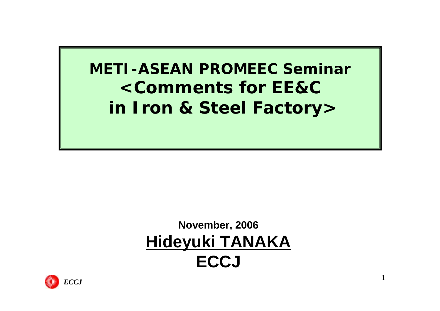**METI-ASEAN PROMEEC Seminar<Comments for EE&Cin Iron & Steel Factory>**

### **November, 2006 Hideyuki TANAKA ECCJ**

1

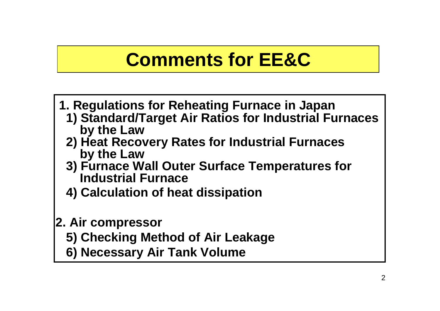## **Comments for EE&C**

- **1. Regulations for Reheating Furnace in Japan**
	- **1) Standard/Target Air Ratios for Industrial Furnaces by the Law**
	- **2) Heat Recovery Rates for Industrial Furnaces by the Law**
	- **3) Furnace Wall Outer Surface Temperatures for Industrial Furnace**
	- **4) Calculation of heat dissipation**

#### **2. Air compressor**

- **5) Checking Method of Air Leakage**
- **6) Necessary Air Tank Volume**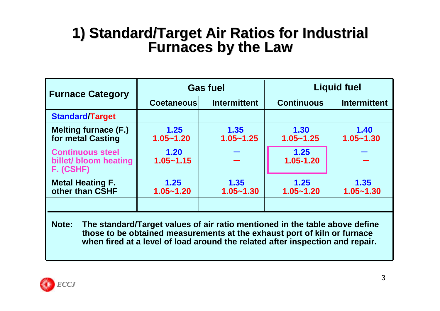# **1) Standard/Target Standard/Target Air Ratios for Industrial Air Ratios for Industrial Furnaces by the Law Furnaces by the Law**

| <b>Furnace Category</b>                                       |                       | <b>Gas fuel</b>       | <b>Liquid fuel</b>    |                       |  |
|---------------------------------------------------------------|-----------------------|-----------------------|-----------------------|-----------------------|--|
|                                                               | <b>Coetaneous</b>     | <b>Intermittent</b>   | <b>Continuous</b>     | <b>Intermittent</b>   |  |
| <b>Standard/Target</b>                                        |                       |                       |                       |                       |  |
| <b>Melting furnace (F.)</b><br>for metal Casting              | 1.25<br>$1.05 - 1.20$ | 1.35<br>$1.05 - 1.25$ | 1.30<br>$1.05 - 1.25$ | 1.40<br>$1.05 - 1.30$ |  |
| <b>Continuous steel</b><br>billet/ bloom heating<br>F. (CSHF) | 1.20<br>$1.05 - 1.15$ |                       | 1.25<br>1.05-1.20     |                       |  |
| <b>Metal Heating F.</b><br>other than CSHF                    | 1.25<br>$1.05 - 1.20$ | 1.35<br>$1.05 - 1.30$ | 1.25<br>$1.05 - 1.20$ | 1.35<br>$1.05 - 1.30$ |  |
|                                                               |                       |                       |                       |                       |  |

**Note: The standard/Target values of air ratio mentioned in the table above define those to be obtained measurements at the exhaust port of kiln or furnace when fired at a level of load around the related after inspection and repair.**

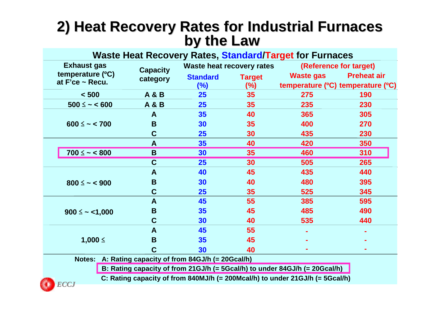## **2) Heat Recovery Rates for Industrial Furnaces Heat Recovery Rates for Industrial Furnaces by the Law by the Law**

| Waste Heat Recovery Rates, Standard/Target for Furnaces |                    |                                                        |                                  |                         |                                                       |                    |  |  |  |
|---------------------------------------------------------|--------------------|--------------------------------------------------------|----------------------------------|-------------------------|-------------------------------------------------------|--------------------|--|--|--|
|                                                         | <b>Exhaust gas</b> | <b>Capacity</b>                                        | <b>Waste heat recovery rates</b> |                         | (Reference for target)                                |                    |  |  |  |
| temperature (°C)<br>at $F'ce \sim Recu$ .               |                    | category                                               | <b>Standard</b><br>(%)           | <b>Target</b><br>$(\%)$ | <b>Waste gas</b><br>temperature (°C) temperature (°C) | <b>Preheat air</b> |  |  |  |
|                                                         | < 500              | <b>A &amp; B</b>                                       | 25                               | 35                      | 275                                                   | 190                |  |  |  |
|                                                         | $500 \leq - 600$   | <b>A&amp;B</b>                                         | 25                               | 35                      | 235                                                   | 230                |  |  |  |
|                                                         |                    | A                                                      | 35                               | 40                      | 365                                                   | 305                |  |  |  |
|                                                         | $600 \leq - 700$   | B                                                      | 30                               | 35                      | 400                                                   | 270                |  |  |  |
|                                                         |                    | $\mathbf C$                                            | 25                               | 30                      | 435                                                   | 230                |  |  |  |
|                                                         |                    | $\mathbf{A}$                                           | 35                               | 40                      | 420                                                   | <b>350</b>         |  |  |  |
|                                                         | $700 \le - 800$    | B                                                      | 30 <sub>2</sub>                  | 35                      | 460                                                   | 310                |  |  |  |
|                                                         |                    | $\mathbf C$                                            | 25                               | 30                      | 505                                                   | 265                |  |  |  |
|                                                         |                    | A                                                      | 40                               | 45                      | 435                                                   | 440                |  |  |  |
| $800 \leq - < 900$                                      | B                  | 30                                                     | 40                               | 480                     | 395                                                   |                    |  |  |  |
|                                                         |                    | C                                                      | 25                               | 35                      | 525                                                   | 345                |  |  |  |
|                                                         |                    | $\mathbf{A}$                                           | 45                               | 55                      | 385                                                   | 595                |  |  |  |
|                                                         | $900 \leq -<1,000$ | B                                                      | 35                               | 45                      | 485                                                   | 490                |  |  |  |
|                                                         |                    | $\mathbf C$                                            | 30                               | 40                      | 535                                                   | 440                |  |  |  |
|                                                         |                    | A                                                      | 45                               | 55                      |                                                       |                    |  |  |  |
| 1,000 ≤                                                 |                    | B                                                      | 35                               | 45                      |                                                       |                    |  |  |  |
|                                                         | $\mathbf C$        | 30                                                     | 40                               |                         |                                                       |                    |  |  |  |
|                                                         | Notes <sup>.</sup> | $A \cdot$ Rating capacity of from 84G.I/h (= 20Gcal/h) |                                  |                         |                                                       |                    |  |  |  |

**Notes: A: Rating capacity of from 84GJ/h (= 20Gcal/h)**

**B: Rating capacity of from 21GJ/h (= 5Gcal/h) to under 84GJ/h (= 20Gcal/h)**

**C: Rating capacity of from 840MJ/h (= 200Mcal/h) to under 21GJ/h (= 5Gcal/h)**

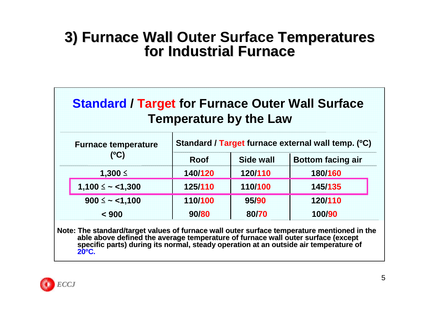#### **3) Furnace Wall Outer Surface Temperatures for Industrial Furnace**

| <b>Standard / Target for Furnace Outer Wall Surface</b><br><b>Temperature by the Law</b> |                                                    |           |                          |  |  |  |  |
|------------------------------------------------------------------------------------------|----------------------------------------------------|-----------|--------------------------|--|--|--|--|
| <b>Furnace temperature</b>                                                               | Standard / Target furnace external wall temp. (°C) |           |                          |  |  |  |  |
| (°C)                                                                                     | <b>Roof</b>                                        | Side wall | <b>Bottom facing air</b> |  |  |  |  |
| 1,300 ≤                                                                                  | 140/120                                            | 120/110   | 180/160                  |  |  |  |  |
| $1,100 \leq -1,300$                                                                      | 125/110                                            | 110/100   | 145/135                  |  |  |  |  |
| $900 \le - 1,100$                                                                        | 110/100                                            | 95/90     | 120/110                  |  |  |  |  |
| < 900                                                                                    | 90/80                                              | 80/70     | 100/90                   |  |  |  |  |

Note: The standard/target values of furnace wall outer surface temperature mentioned in the<br>able above defined the average temperature of furnace wall outer surface (except<br>specific parts) during its normal, steady operati

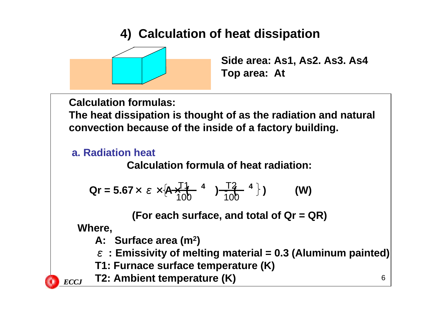#### **4) Calculation of heat dissipation**



**Side area: As1, As2. As3. As4 Top area: At** 

**Calculation formulas:**

**The heat dissipation is thought of as the radiation and natural convection because of the inside of a factory building.**

#### **a. Radiation heat**

**Calculation formula of heat radiation:**

$$
Qr = 5.67 \times \varepsilon \times [A \times \frac{T1}{100}^{4} \quad 4 \quad ) \times \frac{T2}{100}^{4} \quad )
$$
 (W)

**(For each surface, and total of Qr = QR)**

**Where,**

- **A: Surface area (m2)**
- ε **: Emissivity of melting material = 0.3 (Aluminum painted)**
- **T1: Furnace surface temperature (K)**
- **T2: Ambient temperature (K)** *ECCJ*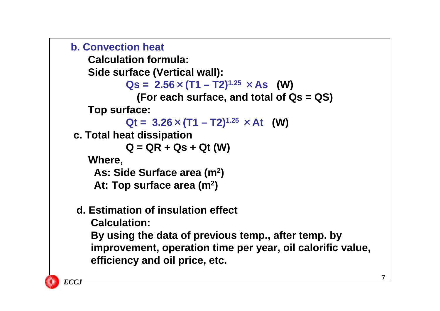```
b. Convection heat
```
**Calculation formula:** 

**Side surface (Vertical wall):**

 $\text{Qs} = 2.56 \times (T1 - T2)^{1.25} \times \text{As}$  (W)

```
(For each surface, and total of Qs = QS)
```
**Top surface:** 

```
\mathbf{Qt} = 3.26 \times (T1 - T2)^{1.25} \times \mathbf{At} (W)
```
**c. Total heat dissipation**

```
Q = QR + Qs + Qt (W)
```
**Where,**

**As: Side Surface area (m2)** 

**At: Top surface area (m2)** 

#### **d. Estimation of insulation effect**

**Calculation:**

**By using the data of previous temp., after temp. by improvement, operation time per year, oil calorific value, efficiency and oil price, etc.**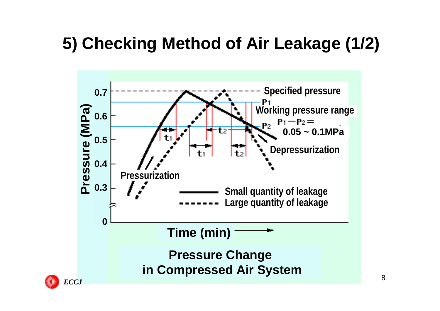## **5) Checking Method of Air Leakage (1/2)**

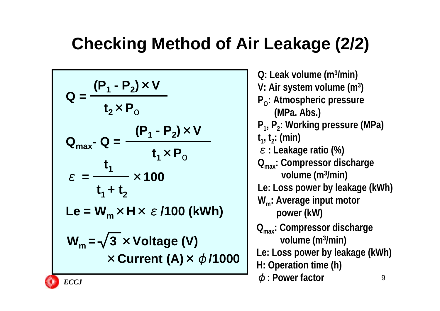## **Checking Method of Air Leakage (2/2)**

$$
Q = \frac{(P_1 - P_2) \times V}{t_2 \times P_0}
$$
  
\n
$$
Q_{max} - Q = \frac{(P_1 - P_2) \times V}{t_1 \times P_0}
$$
  
\n
$$
\varepsilon = \frac{t_1}{t_1 + t_2} \times 100
$$
  
\n
$$
L = W_m \times H \times \varepsilon / 100 \text{ (kWh)}
$$
  
\n
$$
W_m = \sqrt{3} \times \text{Voltage (V)}
$$
  
\n
$$
\times \text{Current (A)} \times \phi / 1000
$$

9**Q: Leak volume (m3/min) V: Air system volume (m3 ) P<sub>0</sub>: Atmospheric pressure (MPa. Abs.) P<sub>1</sub>, P<sub>2</sub>: Working pressure (MPa)**  $t_1, t_2$ : (min) <sup>ε</sup>**: Leakage ratio (%) Qmax: Compressor discharge volume (m3/min) Le: Loss power by leakage (kWh) Wm: Average input motor power (kW) Qmax: Compressor discharge volume (m3/min) Le: Loss power by leakage (kWh) H: Operation time (h)** φ**: Power factor** *ECCJ*